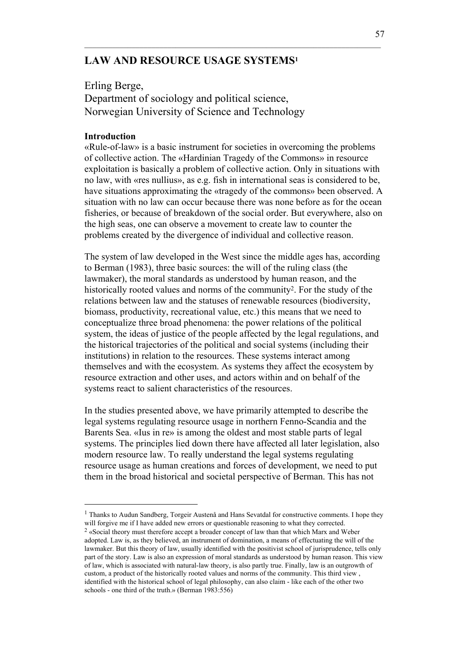# **LAW AND RESOURCE USAGE SYSTEMS1**

Erling Berge, Department of sociology and political science, Norwegian University of Science and Technology

### **Introduction**

l

«Rule-of-law» is a basic instrument for societies in overcoming the problems of collective action. The «Hardinian Tragedy of the Commons» in resource exploitation is basically a problem of collective action. Only in situations with no law, with «res nullius», as e.g. fish in international seas is considered to be, have situations approximating the «tragedy of the commons» been observed. A situation with no law can occur because there was none before as for the ocean fisheries, or because of breakdown of the social order. But everywhere, also on the high seas, one can observe a movement to create law to counter the problems created by the divergence of individual and collective reason.

 $\mathcal{L}_\mathcal{L} = \{ \mathcal{L}_\mathcal{L} = \{ \mathcal{L}_\mathcal{L} = \{ \mathcal{L}_\mathcal{L} = \{ \mathcal{L}_\mathcal{L} = \{ \mathcal{L}_\mathcal{L} = \{ \mathcal{L}_\mathcal{L} = \{ \mathcal{L}_\mathcal{L} = \{ \mathcal{L}_\mathcal{L} = \{ \mathcal{L}_\mathcal{L} = \{ \mathcal{L}_\mathcal{L} = \{ \mathcal{L}_\mathcal{L} = \{ \mathcal{L}_\mathcal{L} = \{ \mathcal{L}_\mathcal{L} = \{ \mathcal{L}_\mathcal{$ 

The system of law developed in the West since the middle ages has, according to Berman (1983), three basic sources: the will of the ruling class (the lawmaker), the moral standards as understood by human reason, and the historically rooted values and norms of the community<sup>2</sup>. For the study of the relations between law and the statuses of renewable resources (biodiversity, biomass, productivity, recreational value, etc.) this means that we need to conceptualize three broad phenomena: the power relations of the political system, the ideas of justice of the people affected by the legal regulations, and the historical trajectories of the political and social systems (including their institutions) in relation to the resources. These systems interact among themselves and with the ecosystem. As systems they affect the ecosystem by resource extraction and other uses, and actors within and on behalf of the systems react to salient characteristics of the resources.

In the studies presented above, we have primarily attempted to describe the legal systems regulating resource usage in northern Fenno-Scandia and the Barents Sea. «Ius in re» is among the oldest and most stable parts of legal systems. The principles lied down there have affected all later legislation, also modern resource law. To really understand the legal systems regulating resource usage as human creations and forces of development, we need to put them in the broad historical and societal perspective of Berman. This has not

<sup>&</sup>lt;sup>1</sup> Thanks to Audun Sandberg, Torgeir Austenå and Hans Sevatdal for constructive comments. I hope they will forgive me if I have added new errors or questionable reasoning to what they corrected.

<sup>2 «</sup>Social theory must therefore accept a broader concept of law than that which Marx and Weber adopted. Law is, as they believed, an instrument of domination, a means of effectuating the will of the lawmaker. But this theory of law, usually identified with the positivist school of jurisprudence, tells only part of the story. Law is also an expression of moral standards as understood by human reason. This view of law, which is associated with natural-law theory, is also partly true. Finally, law is an outgrowth of custom, a product of the historically rooted values and norms of the community. This third view , identified with the historical school of legal philosophy, can also claim - like each of the other two schools - one third of the truth.» (Berman 1983:556)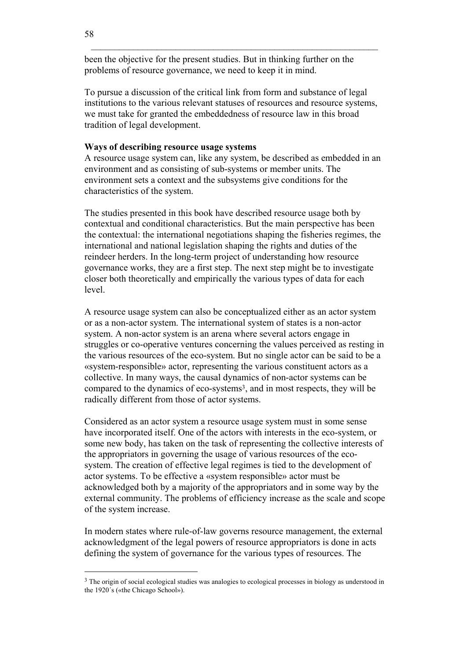been the objective for the present studies. But in thinking further on the problems of resource governance, we need to keep it in mind.

To pursue a discussion of the critical link from form and substance of legal institutions to the various relevant statuses of resources and resource systems, we must take for granted the embeddedness of resource law in this broad tradition of legal development.

#### **Ways of describing resource usage systems**

A resource usage system can, like any system, be described as embedded in an environment and as consisting of sub-systems or member units. The environment sets a context and the subsystems give conditions for the characteristics of the system.

The studies presented in this book have described resource usage both by contextual and conditional characteristics. But the main perspective has been the contextual: the international negotiations shaping the fisheries regimes, the international and national legislation shaping the rights and duties of the reindeer herders. In the long-term project of understanding how resource governance works, they are a first step. The next step might be to investigate closer both theoretically and empirically the various types of data for each level.

A resource usage system can also be conceptualized either as an actor system or as a non-actor system. The international system of states is a non-actor system. A non-actor system is an arena where several actors engage in struggles or co-operative ventures concerning the values perceived as resting in the various resources of the eco-system. But no single actor can be said to be a «system-responsible» actor, representing the various constituent actors as a collective. In many ways, the causal dynamics of non-actor systems can be compared to the dynamics of eco-systems<sup>3</sup>, and in most respects, they will be radically different from those of actor systems.

Considered as an actor system a resource usage system must in some sense have incorporated itself. One of the actors with interests in the eco-system, or some new body, has taken on the task of representing the collective interests of the appropriators in governing the usage of various resources of the ecosystem. The creation of effective legal regimes is tied to the development of actor systems. To be effective a «system responsible» actor must be acknowledged both by a majority of the appropriators and in some way by the external community. The problems of efficiency increase as the scale and scope of the system increase.

In modern states where rule-of-law governs resource management, the external acknowledgment of the legal powers of resource appropriators is done in acts defining the system of governance for the various types of resources. The

<sup>&</sup>lt;sup>3</sup> The origin of social ecological studies was analogies to ecological processes in biology as understood in the 1920´s («the Chicago School»).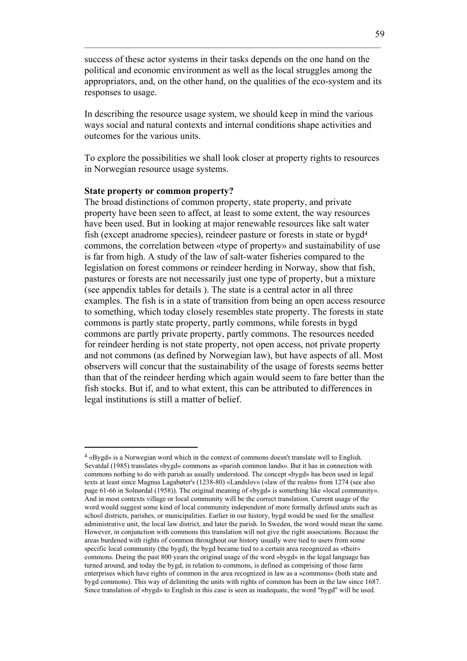success of these actor systems in their tasks depends on the one hand on the political and economic environment as well as the local struggles among the appropriators, and, on the other hand, on the qualities of the eco-system and its responses to usage.

 $\mathcal{L}_\mathcal{L} = \{ \mathcal{L}_\mathcal{L} = \{ \mathcal{L}_\mathcal{L} = \{ \mathcal{L}_\mathcal{L} = \{ \mathcal{L}_\mathcal{L} = \{ \mathcal{L}_\mathcal{L} = \{ \mathcal{L}_\mathcal{L} = \{ \mathcal{L}_\mathcal{L} = \{ \mathcal{L}_\mathcal{L} = \{ \mathcal{L}_\mathcal{L} = \{ \mathcal{L}_\mathcal{L} = \{ \mathcal{L}_\mathcal{L} = \{ \mathcal{L}_\mathcal{L} = \{ \mathcal{L}_\mathcal{L} = \{ \mathcal{L}_\mathcal{$ 

In describing the resource usage system, we should keep in mind the various ways social and natural contexts and internal conditions shape activities and outcomes for the various units.

To explore the possibilities we shall look closer at property rights to resources in Norwegian resource usage systems.

# **State property or common property?**

 $\overline{a}$ 

The broad distinctions of common property, state property, and private property have been seen to affect, at least to some extent, the way resources have been used. But in looking at major renewable resources like salt water fish (except anadrome species), reindeer pasture or forests in state or bygd4 commons, the correlation between «type of property» and sustainability of use is far from high. A study of the law of salt-water fisheries compared to the legislation on forest commons or reindeer herding in Norway, show that fish, pastures or forests are not necessarily just one type of property, but a mixture (see appendix tables for details ). The state is a central actor in all three examples. The fish is in a state of transition from being an open access resource to something, which today closely resembles state property. The forests in state commons is partly state property, partly commons, while forests in bygd commons are partly private property, partly commons. The resources needed for reindeer herding is not state property, not open access, not private property and not commons (as defined by Norwegian law), but have aspects of all. Most observers will concur that the sustainability of the usage of forests seems better than that of the reindeer herding which again would seem to fare better than the fish stocks. But if, and to what extent, this can be attributed to differences in legal institutions is still a matter of belief.

<sup>4 «</sup>Bygd» is a Norwegian word which in the context of commons doesn't translate well to English. Sevatdal (1985) translates «bygd» commons as «parish common lands». But it has in connection with commons nothing to do with parish as usually understood. The concept «bygd» has been used in legal texts at least since Magnus Lagabøter's (1238-80) «Landslov» («law of the realm» from 1274 (see also page 61-66 in Solnørdal (1958)). The original meaning of «bygd» is something like «local community». And in most contexts village or local community will be the correct translation. Current usage of the word would suggest some kind of local community independent of more formally defined units such as school districts, parishes, or municipalities. Earlier in our history, bygd would be used for the smallest administrative unit, the local law district, and later the parish. In Sweden, the word would mean the same. However, in conjunction with commons this translation will not give the right associations. Because the areas burdened with rights of common throughout our history usually were tied to users from some specific local community (the bygd), the bygd became tied to a certain area recognized as «their» commons. During the past 800 years the original usage of the word «bygd» in the legal language has turned around, and today the bygd, in relation to commons, is defined as comprising of those farm enterprises which have rights of common in the area recognized in law as a «commons» (both state and bygd commons). This way of delimiting the units with rights of common has been in the law since 1687. Since translation of «bygd» to English in this case is seen as inadequate, the word "bygd" will be used.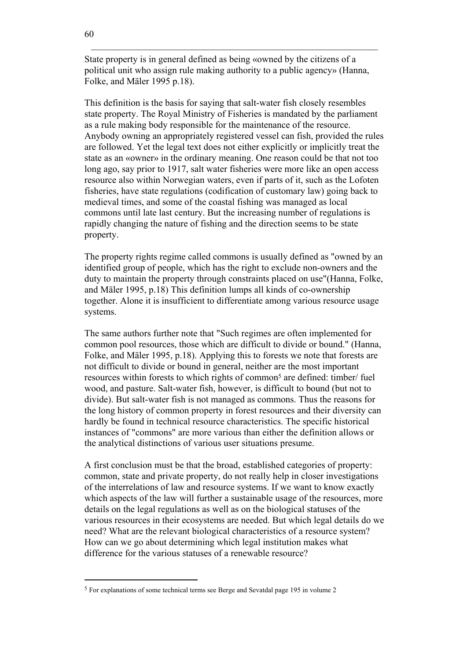State property is in general defined as being «owned by the citizens of a political unit who assign rule making authority to a public agency» (Hanna, Folke, and Mäler 1995 p.18).

This definition is the basis for saying that salt-water fish closely resembles state property. The Royal Ministry of Fisheries is mandated by the parliament as a rule making body responsible for the maintenance of the resource. Anybody owning an appropriately registered vessel can fish, provided the rules are followed. Yet the legal text does not either explicitly or implicitly treat the state as an «owner» in the ordinary meaning. One reason could be that not too long ago, say prior to 1917, salt water fisheries were more like an open access resource also within Norwegian waters, even if parts of it, such as the Lofoten fisheries, have state regulations (codification of customary law) going back to medieval times, and some of the coastal fishing was managed as local commons until late last century. But the increasing number of regulations is rapidly changing the nature of fishing and the direction seems to be state property.

The property rights regime called commons is usually defined as "owned by an identified group of people, which has the right to exclude non-owners and the duty to maintain the property through constraints placed on use"(Hanna, Folke, and Mäler 1995, p.18) This definition lumps all kinds of co-ownership together. Alone it is insufficient to differentiate among various resource usage systems.

The same authors further note that "Such regimes are often implemented for common pool resources, those which are difficult to divide or bound." (Hanna, Folke, and Mäler 1995, p.18). Applying this to forests we note that forests are not difficult to divide or bound in general, neither are the most important resources within forests to which rights of common<sup>5</sup> are defined: timber/ fuel wood, and pasture. Salt-water fish, however, is difficult to bound (but not to divide). But salt-water fish is not managed as commons. Thus the reasons for the long history of common property in forest resources and their diversity can hardly be found in technical resource characteristics. The specific historical instances of "commons" are more various than either the definition allows or the analytical distinctions of various user situations presume.

A first conclusion must be that the broad, established categories of property: common, state and private property, do not really help in closer investigations of the interrelations of law and resource systems. If we want to know exactly which aspects of the law will further a sustainable usage of the resources, more details on the legal regulations as well as on the biological statuses of the various resources in their ecosystems are needed. But which legal details do we need? What are the relevant biological characteristics of a resource system? How can we go about determining which legal institution makes what difference for the various statuses of a renewable resource?

<sup>5</sup> For explanations of some technical terms see Berge and Sevatdal page 195 in volume 2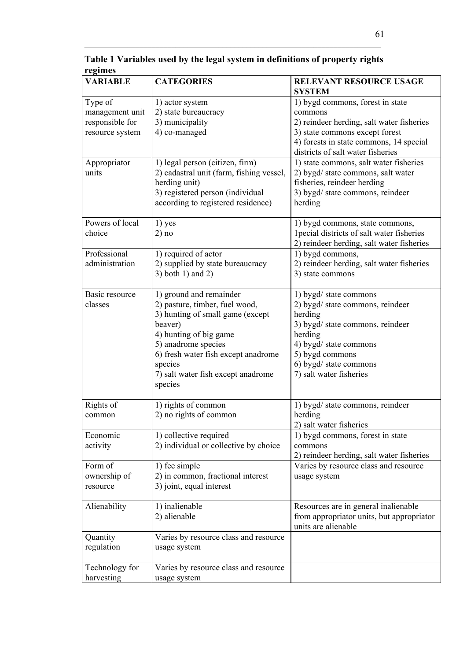| r egunes        |                                          |                                                 |
|-----------------|------------------------------------------|-------------------------------------------------|
| <b>VARIABLE</b> | <b>CATEGORIES</b>                        | <b>RELEVANT RESOURCE USAGE</b><br><b>SYSTEM</b> |
| Type of         | 1) actor system                          | 1) bygd commons, forest in state                |
| management unit | 2) state bureaucracy                     | commons                                         |
|                 |                                          |                                                 |
| responsible for | 3) municipality                          | 2) reindeer herding, salt water fisheries       |
| resource system | 4) co-managed                            | 3) state commons except forest                  |
|                 |                                          | 4) forests in state commons, 14 special         |
|                 |                                          | districts of salt water fisheries               |
| Appropriator    | 1) legal person (citizen, firm)          | 1) state commons, salt water fisheries          |
| units           | 2) cadastral unit (farm, fishing vessel, | 2) bygd/ state commons, salt water              |
|                 | herding unit)                            | fisheries, reindeer herding                     |
|                 | 3) registered person (individual         | 3) bygd/ state commons, reindeer                |
|                 | according to registered residence)       | herding                                         |
|                 |                                          |                                                 |
| Powers of local | 1) yes                                   | 1) bygd commons, state commons,                 |
| choice          | 2) no                                    | 1pecial districts of salt water fisheries       |
|                 |                                          | 2) reindeer herding, salt water fisheries       |
| Professional    | 1) required of actor                     | 1) bygd commons,                                |
| administration  | 2) supplied by state bureaucracy         | 2) reindeer herding, salt water fisheries       |
|                 |                                          |                                                 |
|                 | 3) both 1) and 2)                        | 3) state commons                                |
| Basic resource  | 1) ground and remainder                  | 1) bygd/ state commons                          |
| classes         | 2) pasture, timber, fuel wood,           | 2) bygd/ state commons, reindeer                |
|                 | 3) hunting of small game (except         | herding                                         |
|                 | beaver)                                  | 3) bygd/ state commons, reindeer                |
|                 | 4) hunting of big game                   | herding                                         |
|                 | 5) anadrome species                      | 4) bygd/ state commons                          |
|                 | 6) fresh water fish except anadrome      | 5) bygd commons                                 |
|                 |                                          |                                                 |
|                 | species                                  | 6) bygd/ state commons                          |
|                 | 7) salt water fish except anadrome       | 7) salt water fisheries                         |
|                 | species                                  |                                                 |
| Rights of       | 1) rights of common                      | 1) bygd/ state commons, reindeer                |
| common          | 2) no rights of common                   | herding                                         |
|                 |                                          | 2) salt water fisheries                         |
| Economic        | 1) collective required                   | 1) bygd commons, forest in state                |
| activity        | 2) individual or collective by choice    | commons                                         |
|                 |                                          | 2) reindeer herding, salt water fisheries       |
| Form of         | 1) fee simple                            | Varies by resource class and resource           |
| ownership of    | 2) in common, fractional interest        | usage system                                    |
| resource        | 3) joint, equal interest                 |                                                 |
|                 |                                          |                                                 |
| Alienability    | 1) inalienable                           | Resources are in general inalienable            |
|                 | 2) alienable                             | from appropriator units, but appropriator       |
|                 |                                          | units are alienable                             |
| Quantity        | Varies by resource class and resource    |                                                 |
| regulation      | usage system                             |                                                 |
| Technology for  | Varies by resource class and resource    |                                                 |
| harvesting      | usage system                             |                                                 |

**Table 1 Variables used by the legal system in definitions of property rights regimes** 

 $\mathcal{L}_\mathcal{L} = \{ \mathcal{L}_\mathcal{L} = \{ \mathcal{L}_\mathcal{L} = \{ \mathcal{L}_\mathcal{L} = \{ \mathcal{L}_\mathcal{L} = \{ \mathcal{L}_\mathcal{L} = \{ \mathcal{L}_\mathcal{L} = \{ \mathcal{L}_\mathcal{L} = \{ \mathcal{L}_\mathcal{L} = \{ \mathcal{L}_\mathcal{L} = \{ \mathcal{L}_\mathcal{L} = \{ \mathcal{L}_\mathcal{L} = \{ \mathcal{L}_\mathcal{L} = \{ \mathcal{L}_\mathcal{L} = \{ \mathcal{L}_\mathcal{$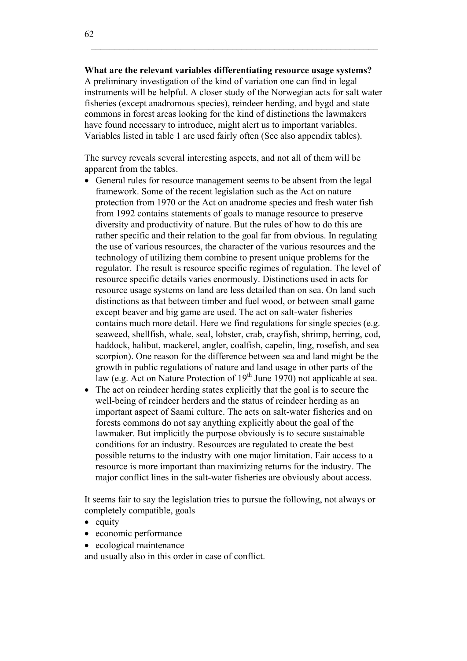**What are the relevant variables differentiating resource usage systems?** A preliminary investigation of the kind of variation one can find in legal instruments will be helpful. A closer study of the Norwegian acts for salt water fisheries (except anadromous species), reindeer herding, and bygd and state commons in forest areas looking for the kind of distinctions the lawmakers have found necessary to introduce, might alert us to important variables. Variables listed in table 1 are used fairly often (See also appendix tables).

The survey reveals several interesting aspects, and not all of them will be apparent from the tables.

- General rules for resource management seems to be absent from the legal framework. Some of the recent legislation such as the Act on nature protection from 1970 or the Act on anadrome species and fresh water fish from 1992 contains statements of goals to manage resource to preserve diversity and productivity of nature. But the rules of how to do this are rather specific and their relation to the goal far from obvious. In regulating the use of various resources, the character of the various resources and the technology of utilizing them combine to present unique problems for the regulator. The result is resource specific regimes of regulation. The level of resource specific details varies enormously. Distinctions used in acts for resource usage systems on land are less detailed than on sea. On land such distinctions as that between timber and fuel wood, or between small game except beaver and big game are used. The act on salt-water fisheries contains much more detail. Here we find regulations for single species (e.g. seaweed, shellfish, whale, seal, lobster, crab, crayfish, shrimp, herring, cod, haddock, halibut, mackerel, angler, coalfish, capelin, ling, rosefish, and sea scorpion). One reason for the difference between sea and land might be the growth in public regulations of nature and land usage in other parts of the law (e.g. Act on Nature Protection of  $19<sup>th</sup>$  June 1970) not applicable at sea.
- The act on reindeer herding states explicitly that the goal is to secure the well-being of reindeer herders and the status of reindeer herding as an important aspect of Saami culture. The acts on salt-water fisheries and on forests commons do not say anything explicitly about the goal of the lawmaker. But implicitly the purpose obviously is to secure sustainable conditions for an industry. Resources are regulated to create the best possible returns to the industry with one major limitation. Fair access to a resource is more important than maximizing returns for the industry. The major conflict lines in the salt-water fisheries are obviously about access.

It seems fair to say the legislation tries to pursue the following, not always or completely compatible, goals

- $\bullet$  equity
- economic performance
- ecological maintenance

and usually also in this order in case of conflict.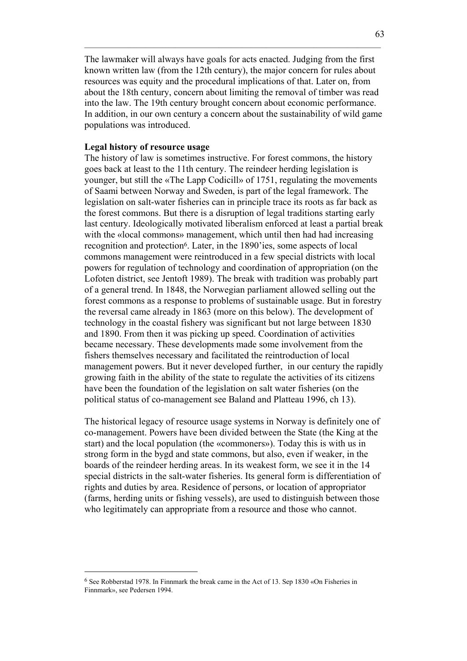The lawmaker will always have goals for acts enacted. Judging from the first known written law (from the 12th century), the major concern for rules about resources was equity and the procedural implications of that. Later on, from about the 18th century, concern about limiting the removal of timber was read into the law. The 19th century brought concern about economic performance. In addition, in our own century a concern about the sustainability of wild game populations was introduced.

 $\mathcal{L}_\mathcal{L} = \{ \mathcal{L}_\mathcal{L} = \{ \mathcal{L}_\mathcal{L} = \{ \mathcal{L}_\mathcal{L} = \{ \mathcal{L}_\mathcal{L} = \{ \mathcal{L}_\mathcal{L} = \{ \mathcal{L}_\mathcal{L} = \{ \mathcal{L}_\mathcal{L} = \{ \mathcal{L}_\mathcal{L} = \{ \mathcal{L}_\mathcal{L} = \{ \mathcal{L}_\mathcal{L} = \{ \mathcal{L}_\mathcal{L} = \{ \mathcal{L}_\mathcal{L} = \{ \mathcal{L}_\mathcal{L} = \{ \mathcal{L}_\mathcal{$ 

#### **Legal history of resource usage**

The history of law is sometimes instructive. For forest commons, the history goes back at least to the 11th century. The reindeer herding legislation is younger, but still the «The Lapp Codicill» of 1751, regulating the movements of Saami between Norway and Sweden, is part of the legal framework. The legislation on salt-water fisheries can in principle trace its roots as far back as the forest commons. But there is a disruption of legal traditions starting early last century. Ideologically motivated liberalism enforced at least a partial break with the «local commons» management, which until then had had increasing recognition and protection6. Later, in the 1890'ies, some aspects of local commons management were reintroduced in a few special districts with local powers for regulation of technology and coordination of appropriation (on the Lofoten district, see Jentoft 1989). The break with tradition was probably part of a general trend. In 1848, the Norwegian parliament allowed selling out the forest commons as a response to problems of sustainable usage. But in forestry the reversal came already in 1863 (more on this below). The development of technology in the coastal fishery was significant but not large between 1830 and 1890. From then it was picking up speed. Coordination of activities became necessary. These developments made some involvement from the fishers themselves necessary and facilitated the reintroduction of local management powers. But it never developed further, in our century the rapidly growing faith in the ability of the state to regulate the activities of its citizens have been the foundation of the legislation on salt water fisheries (on the political status of co-management see Baland and Platteau 1996, ch 13).

The historical legacy of resource usage systems in Norway is definitely one of co-management. Powers have been divided between the State (the King at the start) and the local population (the «commoners»). Today this is with us in strong form in the bygd and state commons, but also, even if weaker, in the boards of the reindeer herding areas. In its weakest form, we see it in the 14 special districts in the salt-water fisheries. Its general form is differentiation of rights and duties by area. Residence of persons, or location of appropriator (farms, herding units or fishing vessels), are used to distinguish between those who legitimately can appropriate from a resource and those who cannot.

<sup>6</sup> See Robberstad 1978. In Finnmark the break came in the Act of 13. Sep 1830 «On Fisheries in Finnmark», see Pedersen 1994.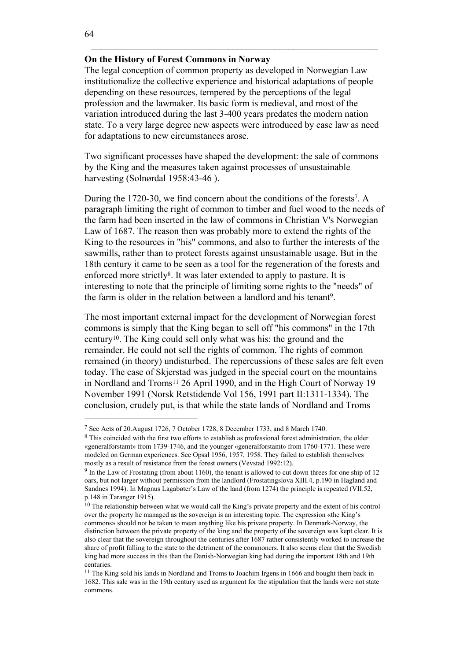## **On the History of Forest Commons in Norway**

The legal conception of common property as developed in Norwegian Law institutionalize the collective experience and historical adaptations of people depending on these resources, tempered by the perceptions of the legal profession and the lawmaker. Its basic form is medieval, and most of the variation introduced during the last 3-400 years predates the modern nation state. To a very large degree new aspects were introduced by case law as need for adaptations to new circumstances arose.

Two significant processes have shaped the development: the sale of commons by the King and the measures taken against processes of unsustainable harvesting (Solnørdal 1958:43-46 ).

During the 1720-30, we find concern about the conditions of the forests7. A paragraph limiting the right of common to timber and fuel wood to the needs of the farm had been inserted in the law of commons in Christian V's Norwegian Law of 1687. The reason then was probably more to extend the rights of the King to the resources in "his" commons, and also to further the interests of the sawmills, rather than to protect forests against unsustainable usage. But in the 18th century it came to be seen as a tool for the regeneration of the forests and enforced more strictly<sup>8</sup>. It was later extended to apply to pasture. It is interesting to note that the principle of limiting some rights to the "needs" of the farm is older in the relation between a landlord and his tenant<sup>9</sup>.

The most important external impact for the development of Norwegian forest commons is simply that the King began to sell off "his commons" in the 17th century10. The King could sell only what was his: the ground and the remainder. He could not sell the rights of common. The rights of common remained (in theory) undisturbed. The repercussions of these sales are felt even today. The case of Skjerstad was judged in the special court on the mountains in Nordland and Troms<sup>11</sup> 26 April 1990, and in the High Court of Norway 19 November 1991 (Norsk Retstidende Vol 156, 1991 part II:1311-1334). The conclusion, crudely put, is that while the state lands of Nordland and Troms

l

<sup>7</sup> See Acts of 20.August 1726, 7 October 1728, 8 December 1733, and 8 March 1740.

<sup>&</sup>lt;sup>8</sup> This coincided with the first two efforts to establish as professional forest administration, the older «generalforstamt» from 1739-1746, and the younger «generalforstamt» from 1760-1771. These were modeled on German experiences. See Opsal 1956, 1957, 1958. They failed to establish themselves mostly as a result of resistance from the forest owners (Vevstad 1992:12).

<sup>9</sup> In the Law of Frostating (from about 1160), the tenant is allowed to cut down threes for one ship of 12 oars, but not larger without permission from the landlord (Frostatingslova XIII.4, p.190 in Hagland and Sandnes 1994). In Magnus Lagabøter's Law of the land (from 1274) the principle is repeated (VII.52, p.148 in Taranger 1915).

<sup>&</sup>lt;sup>10</sup> The relationship between what we would call the King's private property and the extent of his control over the property he managed as the sovereign is an interesting topic. The expression «the King's commons» should not be taken to mean anything like his private property. In Denmark-Norway, the distinction between the private property of the king and the property of the sovereign was kept clear. It is also clear that the sovereign throughout the centuries after 1687 rather consistently worked to increase the share of profit falling to the state to the detriment of the commoners. It also seems clear that the Swedish king had more success in this than the Danish-Norwegian king had during the important 18th and 19th centuries.

<sup>&</sup>lt;sup>11</sup> The King sold his lands in Nordland and Troms to Joachim Irgens in 1666 and bought them back in 1682. This sale was in the 19th century used as argument for the stipulation that the lands were not state commons.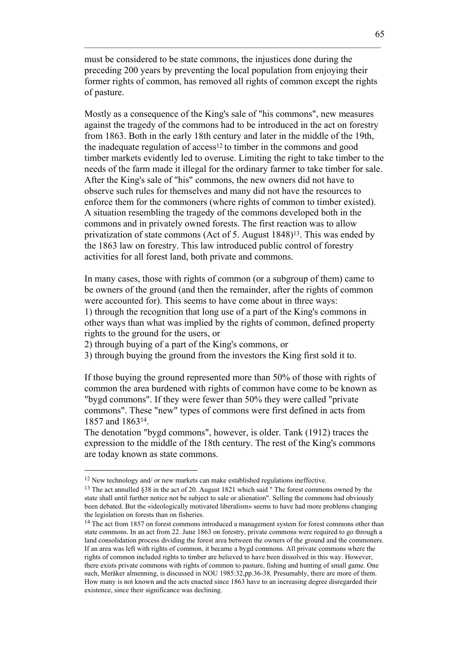must be considered to be state commons, the injustices done during the preceding 200 years by preventing the local population from enjoying their former rights of common, has removed all rights of common except the rights of pasture.

 $\mathcal{L}_\mathcal{L} = \{ \mathcal{L}_\mathcal{L} = \{ \mathcal{L}_\mathcal{L} = \{ \mathcal{L}_\mathcal{L} = \{ \mathcal{L}_\mathcal{L} = \{ \mathcal{L}_\mathcal{L} = \{ \mathcal{L}_\mathcal{L} = \{ \mathcal{L}_\mathcal{L} = \{ \mathcal{L}_\mathcal{L} = \{ \mathcal{L}_\mathcal{L} = \{ \mathcal{L}_\mathcal{L} = \{ \mathcal{L}_\mathcal{L} = \{ \mathcal{L}_\mathcal{L} = \{ \mathcal{L}_\mathcal{L} = \{ \mathcal{L}_\mathcal{$ 

Mostly as a consequence of the King's sale of "his commons", new measures against the tragedy of the commons had to be introduced in the act on forestry from 1863. Both in the early 18th century and later in the middle of the 19th, the inadequate regulation of access<sup>12</sup> to timber in the commons and good timber markets evidently led to overuse. Limiting the right to take timber to the needs of the farm made it illegal for the ordinary farmer to take timber for sale. After the King's sale of "his" commons, the new owners did not have to observe such rules for themselves and many did not have the resources to enforce them for the commoners (where rights of common to timber existed). A situation resembling the tragedy of the commons developed both in the commons and in privately owned forests. The first reaction was to allow privatization of state commons (Act of 5. August 1848)13. This was ended by the 1863 law on forestry. This law introduced public control of forestry activities for all forest land, both private and commons.

In many cases, those with rights of common (or a subgroup of them) came to be owners of the ground (and then the remainder, after the rights of common were accounted for). This seems to have come about in three ways: 1) through the recognition that long use of a part of the King's commons in other ways than what was implied by the rights of common, defined property rights to the ground for the users, or

2) through buying of a part of the King's commons, or

3) through buying the ground from the investors the King first sold it to.

If those buying the ground represented more than 50% of those with rights of common the area burdened with rights of common have come to be known as "bygd commons". If they were fewer than 50% they were called "private commons". These "new" types of commons were first defined in acts from 1857 and 186314.

The denotation "bygd commons", however, is older. Tank (1912) traces the expression to the middle of the 18th century. The rest of the King's commons are today known as state commons.

<sup>12</sup> New technology and/ or new markets can make established regulations ineffective.

<sup>13</sup> The act annulled §38 in the act of 20. August 1821 which said " The forest commons owned by the state shall until further notice not be subject to sale or alienation". Selling the commons had obviously been debated. But the «ideologically motivated liberalism» seems to have had more problems changing the legislation on forests than on fisheries.

<sup>&</sup>lt;sup>14</sup> The act from 1857 on forest commons introduced a management system for forest commons other than state commons. In an act from 22. June 1863 on forestry, private commons were required to go through a land consolidation process dividing the forest area between the owners of the ground and the commoners. If an area was left with rights of common, it became a bygd commons. All private commons where the rights of common included rights to timber are believed to have been dissolved in this way. However, there exists private commons with rights of common to pasture, fishing and hunting of small game. One such, Meråker almenning, is discussed in NOU 1985:32,pp.36-38. Presumably, there are more of them. How many is not known and the acts enacted since 1863 have to an increasing degree disregarded their existence, since their significance was declining.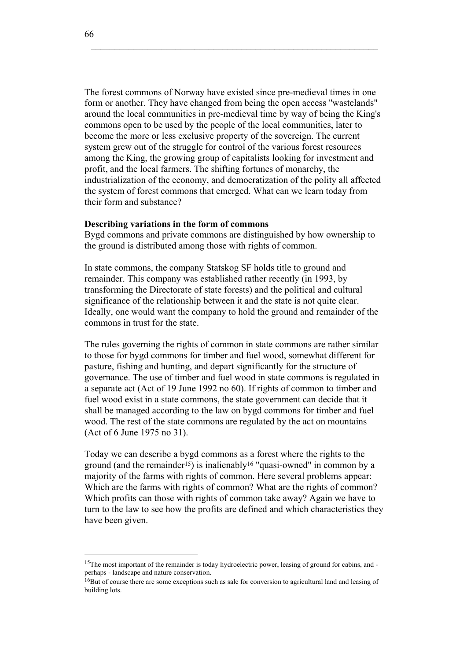The forest commons of Norway have existed since pre-medieval times in one form or another. They have changed from being the open access "wastelands" around the local communities in pre-medieval time by way of being the King's commons open to be used by the people of the local communities, later to become the more or less exclusive property of the sovereign. The current system grew out of the struggle for control of the various forest resources among the King, the growing group of capitalists looking for investment and profit, and the local farmers. The shifting fortunes of monarchy, the industrialization of the economy, and democratization of the polity all affected the system of forest commons that emerged. What can we learn today from their form and substance?

#### **Describing variations in the form of commons**

Bygd commons and private commons are distinguished by how ownership to the ground is distributed among those with rights of common.

In state commons, the company Statskog SF holds title to ground and remainder. This company was established rather recently (in 1993, by transforming the Directorate of state forests) and the political and cultural significance of the relationship between it and the state is not quite clear. Ideally, one would want the company to hold the ground and remainder of the commons in trust for the state.

The rules governing the rights of common in state commons are rather similar to those for bygd commons for timber and fuel wood, somewhat different for pasture, fishing and hunting, and depart significantly for the structure of governance. The use of timber and fuel wood in state commons is regulated in a separate act (Act of 19 June 1992 no 60). If rights of common to timber and fuel wood exist in a state commons, the state government can decide that it shall be managed according to the law on bygd commons for timber and fuel wood. The rest of the state commons are regulated by the act on mountains (Act of 6 June 1975 no 31).

Today we can describe a bygd commons as a forest where the rights to the ground (and the remainder<sup>15</sup>) is inalienably<sup>16</sup> "quasi-owned" in common by a majority of the farms with rights of common. Here several problems appear: Which are the farms with rights of common? What are the rights of common? Which profits can those with rights of common take away? Again we have to turn to the law to see how the profits are defined and which characteristics they have been given.

l

<sup>&</sup>lt;sup>15</sup>The most important of the remainder is today hydroelectric power, leasing of ground for cabins, and perhaps - landscape and nature conservation.

<sup>&</sup>lt;sup>16</sup>But of course there are some exceptions such as sale for conversion to agricultural land and leasing of building lots.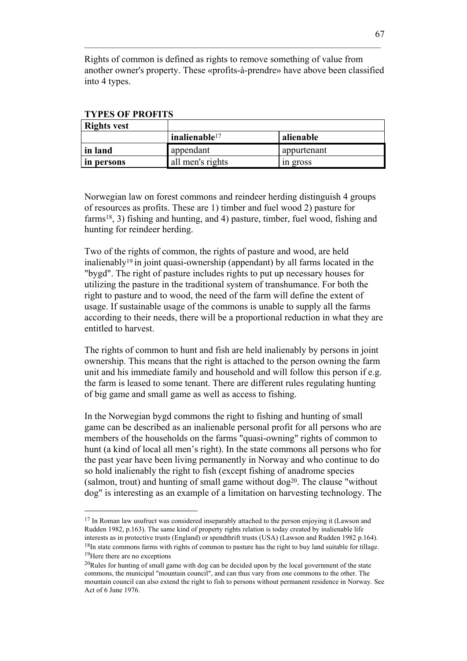Rights of common is defined as rights to remove something of value from another owner's property. These «profits-à-prendre» have above been classified into 4 types.

 $\mathcal{L}_\mathcal{L} = \{ \mathcal{L}_\mathcal{L} = \{ \mathcal{L}_\mathcal{L} = \{ \mathcal{L}_\mathcal{L} = \{ \mathcal{L}_\mathcal{L} = \{ \mathcal{L}_\mathcal{L} = \{ \mathcal{L}_\mathcal{L} = \{ \mathcal{L}_\mathcal{L} = \{ \mathcal{L}_\mathcal{L} = \{ \mathcal{L}_\mathcal{L} = \{ \mathcal{L}_\mathcal{L} = \{ \mathcal{L}_\mathcal{L} = \{ \mathcal{L}_\mathcal{L} = \{ \mathcal{L}_\mathcal{L} = \{ \mathcal{L}_\mathcal{$ 

| Rights vest |                  |             |
|-------------|------------------|-------------|
|             | inalienable $17$ | alienable   |
| in land     | appendant        | appurtenant |
| in persons  | all men's rights | in gross    |

**TYPES OF PROFITS**

Norwegian law on forest commons and reindeer herding distinguish 4 groups of resources as profits. These are 1) timber and fuel wood 2) pasture for farms18, 3) fishing and hunting, and 4) pasture, timber, fuel wood, fishing and hunting for reindeer herding.

Two of the rights of common, the rights of pasture and wood, are held inalienably19 in joint quasi-ownership (appendant) by all farms located in the "bygd". The right of pasture includes rights to put up necessary houses for utilizing the pasture in the traditional system of transhumance. For both the right to pasture and to wood, the need of the farm will define the extent of usage. If sustainable usage of the commons is unable to supply all the farms according to their needs, there will be a proportional reduction in what they are entitled to harvest.

The rights of common to hunt and fish are held inalienably by persons in joint ownership. This means that the right is attached to the person owning the farm unit and his immediate family and household and will follow this person if e.g. the farm is leased to some tenant. There are different rules regulating hunting of big game and small game as well as access to fishing.

In the Norwegian bygd commons the right to fishing and hunting of small game can be described as an inalienable personal profit for all persons who are members of the households on the farms "quasi-owning" rights of common to hunt (a kind of local all men's right). In the state commons all persons who for the past year have been living permanently in Norway and who continue to do so hold inalienably the right to fish (except fishing of anadrome species (salmon, trout) and hunting of small game without  $\log^{20}$ . The clause "without dog" is interesting as an example of a limitation on harvesting technology. The

l

 $17$  In Roman law usufruct was considered inseparably attached to the person enjoying it (Lawson and Rudden 1982, p.163). The same kind of property rights relation is today created by inalienable life interests as in protective trusts (England) or spendthrift trusts (USA) (Lawson and Rudden 1982 p.164). <sup>18</sup>In state commons farms with rights of common to pasture has the right to buy land suitable for tillage.

<sup>&</sup>lt;sup>19</sup>Here there are no exceptions

 $20$ Rules for hunting of small game with dog can be decided upon by the local government of the state commons, the municipal "mountain council", and can thus vary from one commons to the other. The mountain council can also extend the right to fish to persons without permanent residence in Norway. See Act of 6 June 1976.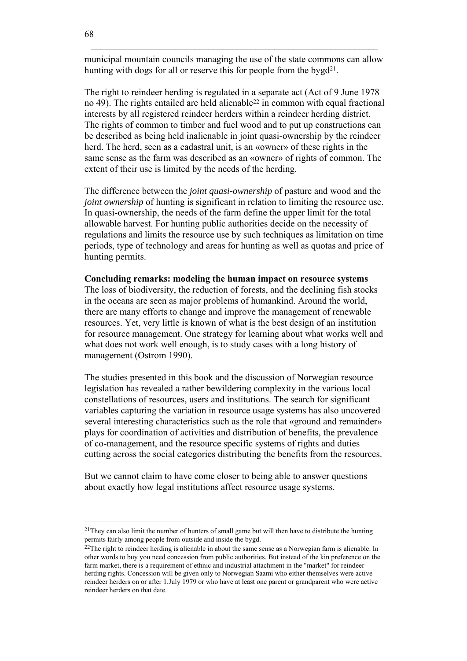municipal mountain councils managing the use of the state commons can allow hunting with dogs for all or reserve this for people from the bygd<sup>21</sup>.

The right to reindeer herding is regulated in a separate act (Act of 9 June 1978 no 49). The rights entailed are held alienable22 in common with equal fractional interests by all registered reindeer herders within a reindeer herding district. The rights of common to timber and fuel wood and to put up constructions can be described as being held inalienable in joint quasi-ownership by the reindeer herd. The herd, seen as a cadastral unit, is an «owner» of these rights in the same sense as the farm was described as an «owner» of rights of common. The extent of their use is limited by the needs of the herding.

The difference between the *joint quasi-ownership* of pasture and wood and the *joint ownership* of hunting is significant in relation to limiting the resource use. In quasi-ownership, the needs of the farm define the upper limit for the total allowable harvest. For hunting public authorities decide on the necessity of regulations and limits the resource use by such techniques as limitation on time periods, type of technology and areas for hunting as well as quotas and price of hunting permits.

## **Concluding remarks: modeling the human impact on resource systems**

The loss of biodiversity, the reduction of forests, and the declining fish stocks in the oceans are seen as major problems of humankind. Around the world, there are many efforts to change and improve the management of renewable resources. Yet, very little is known of what is the best design of an institution for resource management. One strategy for learning about what works well and what does not work well enough, is to study cases with a long history of management (Ostrom 1990).

The studies presented in this book and the discussion of Norwegian resource legislation has revealed a rather bewildering complexity in the various local constellations of resources, users and institutions. The search for significant variables capturing the variation in resource usage systems has also uncovered several interesting characteristics such as the role that «ground and remainder» plays for coordination of activities and distribution of benefits, the prevalence of co-management, and the resource specific systems of rights and duties cutting across the social categories distributing the benefits from the resources.

But we cannot claim to have come closer to being able to answer questions about exactly how legal institutions affect resource usage systems.

<sup>&</sup>lt;sup>21</sup>They can also limit the number of hunters of small game but will then have to distribute the hunting permits fairly among people from outside and inside the bygd.

 $^{22}$ The right to reindeer herding is alienable in about the same sense as a Norwegian farm is alienable. In other words to buy you need concession from public authorities. But instead of the kin preference on the farm market, there is a requirement of ethnic and industrial attachment in the "market" for reindeer herding rights. Concession will be given only to Norwegian Saami who either themselves were active reindeer herders on or after 1.July 1979 or who have at least one parent or grandparent who were active reindeer herders on that date.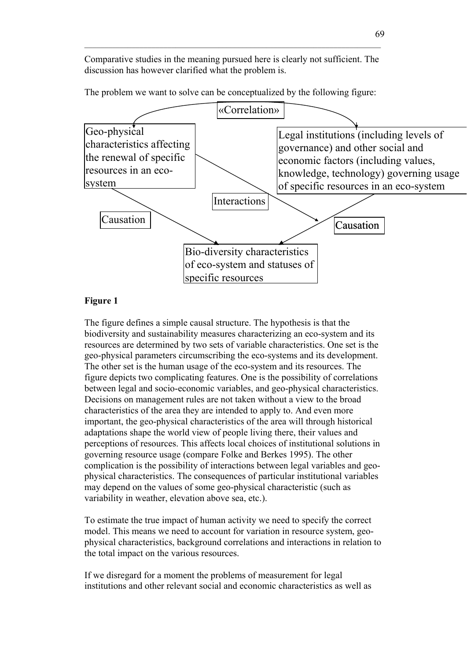Comparative studies in the meaning pursued here is clearly not sufficient. The discussion has however clarified what the problem is.

 $\mathcal{L}_\mathcal{L} = \{ \mathcal{L}_\mathcal{L} = \{ \mathcal{L}_\mathcal{L} = \{ \mathcal{L}_\mathcal{L} = \{ \mathcal{L}_\mathcal{L} = \{ \mathcal{L}_\mathcal{L} = \{ \mathcal{L}_\mathcal{L} = \{ \mathcal{L}_\mathcal{L} = \{ \mathcal{L}_\mathcal{L} = \{ \mathcal{L}_\mathcal{L} = \{ \mathcal{L}_\mathcal{L} = \{ \mathcal{L}_\mathcal{L} = \{ \mathcal{L}_\mathcal{L} = \{ \mathcal{L}_\mathcal{L} = \{ \mathcal{L}_\mathcal{$ 

The problem we want to solve can be conceptualized by the following figure:



### **Figure 1**

The figure defines a simple causal structure. The hypothesis is that the biodiversity and sustainability measures characterizing an eco-system and its resources are determined by two sets of variable characteristics. One set is the geo-physical parameters circumscribing the eco-systems and its development. The other set is the human usage of the eco-system and its resources. The figure depicts two complicating features. One is the possibility of correlations between legal and socio-economic variables, and geo-physical characteristics. Decisions on management rules are not taken without a view to the broad characteristics of the area they are intended to apply to. And even more important, the geo-physical characteristics of the area will through historical adaptations shape the world view of people living there, their values and perceptions of resources. This affects local choices of institutional solutions in governing resource usage (compare Folke and Berkes 1995). The other complication is the possibility of interactions between legal variables and geophysical characteristics. The consequences of particular institutional variables may depend on the values of some geo-physical characteristic (such as variability in weather, elevation above sea, etc.).

To estimate the true impact of human activity we need to specify the correct model. This means we need to account for variation in resource system, geophysical characteristics, background correlations and interactions in relation to the total impact on the various resources.

If we disregard for a moment the problems of measurement for legal institutions and other relevant social and economic characteristics as well as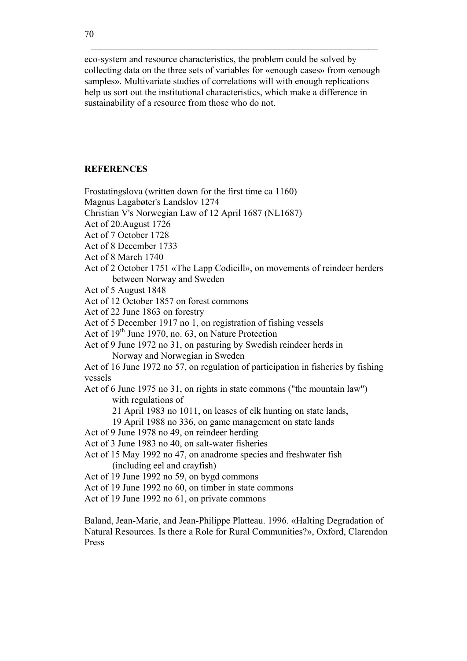eco-system and resource characteristics, the problem could be solved by collecting data on the three sets of variables for «enough cases» from «enough samples». Multivariate studies of correlations will with enough replications help us sort out the institutional characteristics, which make a difference in sustainability of a resource from those who do not.

# **REFERENCES**

- Frostatingslova (written down for the first time ca 1160)
- Magnus Lagabøter's Landslov 1274
- Christian V's Norwegian Law of 12 April 1687 (NL1687)
- Act of 20.August 1726
- Act of 7 October 1728
- Act of 8 December 1733
- Act of 8 March 1740
- Act of 2 October 1751 «The Lapp Codicill», on movements of reindeer herders between Norway and Sweden
- Act of 5 August 1848
- Act of 12 October 1857 on forest commons
- Act of 22 June 1863 on forestry
- Act of 5 December 1917 no 1, on registration of fishing vessels
- Act of  $19<sup>th</sup>$  June 1970, no. 63, on Nature Protection
- Act of 9 June 1972 no 31, on pasturing by Swedish reindeer herds in Norway and Norwegian in Sweden
- Act of 16 June 1972 no 57, on regulation of participation in fisheries by fishing vessels
- Act of 6 June 1975 no 31, on rights in state commons ("the mountain law") with regulations of
	- 21 April 1983 no 1011, on leases of elk hunting on state lands,
	- 19 April 1988 no 336, on game management on state lands
- Act of 9 June 1978 no 49, on reindeer herding
- Act of 3 June 1983 no 40, on salt-water fisheries
- Act of 15 May 1992 no 47, on anadrome species and freshwater fish (including eel and crayfish)
- Act of 19 June 1992 no 59, on bygd commons
- Act of 19 June 1992 no 60, on timber in state commons
- Act of 19 June 1992 no 61, on private commons

Baland, Jean-Marie, and Jean-Philippe Platteau. 1996. «Halting Degradation of Natural Resources. Is there a Role for Rural Communities?», Oxford, Clarendon Press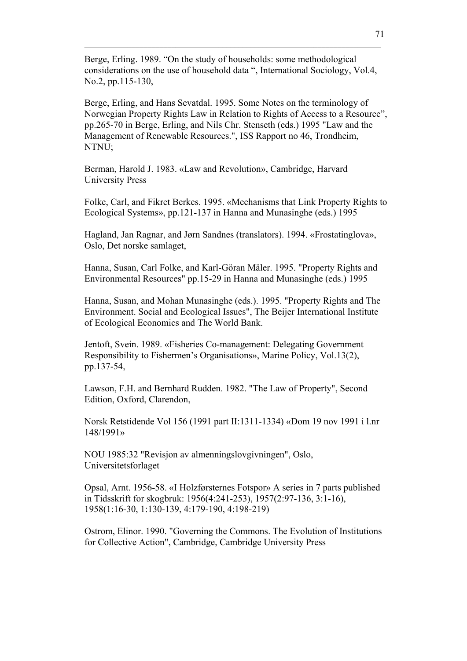Berge, Erling. 1989. "On the study of households: some methodological considerations on the use of household data ", International Sociology, Vol.4, No.2, pp.115-130,

 $\mathcal{L}_\mathcal{L} = \{ \mathcal{L}_\mathcal{L} = \{ \mathcal{L}_\mathcal{L} = \{ \mathcal{L}_\mathcal{L} = \{ \mathcal{L}_\mathcal{L} = \{ \mathcal{L}_\mathcal{L} = \{ \mathcal{L}_\mathcal{L} = \{ \mathcal{L}_\mathcal{L} = \{ \mathcal{L}_\mathcal{L} = \{ \mathcal{L}_\mathcal{L} = \{ \mathcal{L}_\mathcal{L} = \{ \mathcal{L}_\mathcal{L} = \{ \mathcal{L}_\mathcal{L} = \{ \mathcal{L}_\mathcal{L} = \{ \mathcal{L}_\mathcal{$ 

Berge, Erling, and Hans Sevatdal. 1995. Some Notes on the terminology of Norwegian Property Rights Law in Relation to Rights of Access to a Resource", pp.265-70 in Berge, Erling, and Nils Chr. Stenseth (eds.) 1995 "Law and the Management of Renewable Resources.", ISS Rapport no 46, Trondheim, NTNU;

Berman, Harold J. 1983. «Law and Revolution», Cambridge, Harvard University Press

Folke, Carl, and Fikret Berkes. 1995. «Mechanisms that Link Property Rights to Ecological Systems», pp.121-137 in Hanna and Munasinghe (eds.) 1995

Hagland, Jan Ragnar, and Jørn Sandnes (translators). 1994. «Frostatinglova», Oslo, Det norske samlaget,

Hanna, Susan, Carl Folke, and Karl-Göran Mäler. 1995. "Property Rights and Environmental Resources" pp.15-29 in Hanna and Munasinghe (eds.) 1995

Hanna, Susan, and Mohan Munasinghe (eds.). 1995. "Property Rights and The Environment. Social and Ecological Issues", The Beijer International Institute of Ecological Economics and The World Bank.

Jentoft, Svein. 1989. «Fisheries Co-management: Delegating Government Responsibility to Fishermen's Organisations», Marine Policy, Vol.13(2), pp.137-54,

Lawson, F.H. and Bernhard Rudden. 1982. "The Law of Property", Second Edition, Oxford, Clarendon,

Norsk Retstidende Vol 156 (1991 part II:1311-1334) «Dom 19 nov 1991 i l.nr 148/1991»

NOU 1985:32 "Revisjon av almenningslovgivningen", Oslo, Universitetsforlaget

Opsal, Arnt. 1956-58. «I Holzførsternes Fotspor» A series in 7 parts published in Tidsskrift for skogbruk: 1956(4:241-253), 1957(2:97-136, 3:1-16), 1958(1:16-30, 1:130-139, 4:179-190, 4:198-219)

Ostrom, Elinor. 1990. "Governing the Commons. The Evolution of Institutions for Collective Action", Cambridge, Cambridge University Press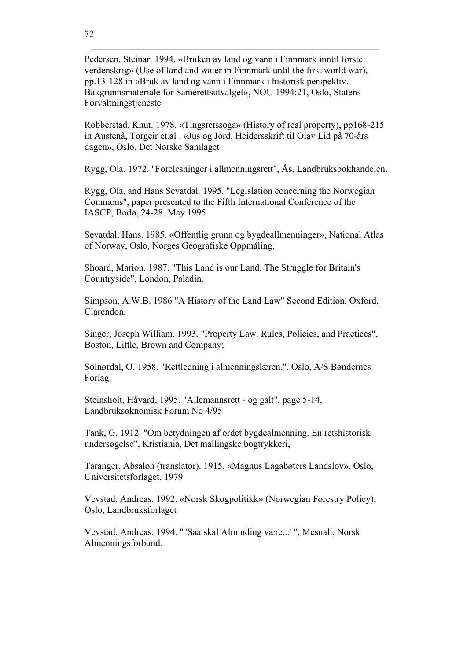Pedersen, Steinar. 1994. «Bruken av land og vann i Finnmark inntil første verdenskrig» (Use of land and water in Finnmark until the first world war), pp.13-128 in «Bruk av land og vann i Finnmark i historisk perspektiv. Bakgrunnsmateriale for Samerettsutvalget», NOU 1994:21, Oslo, Statens Forvaltningstjeneste

Robberstad, Knut. 1978. «Tingsretssoga» (History of real property), pp168-215 in Austenå, Torgeir et.al . «Jus og Jord. Heidersskrift til Olav Lid på 70-års dagen», Oslo, Det Norske Samlaget

Rygg, Ola. 1972. "Forelesninger i allmenningsrett", Ås, Landbruksbokhandelen.

Rygg, Ola, and Hans Sevatdal. 1995. "Legislation concerning the Norwegian Commons", paper presented to the Fifth International Conference of the IASCP, Bodø, 24-28. May 1995

Sevatdal, Hans. 1985. «Offentlig grunn og bygdeallmenninger», National Atlas of Norway, Oslo, Norges Geografiske Oppmåling,

Shoard, Marion. 1987. "This Land is our Land. The Struggle for Britain's Countryside", London, Paladin.

Simpson, A.W.B. 1986 "A History of the Land Law" Second Edition, Oxford, Clarendon,

Singer, Joseph William. 1993. "Property Law. Rules, Policies, and Practices", Boston, Little, Brown and Company;

Solnørdal, O. 1958. "Rettledning i almenningslæren.", Oslo, A/S Bøndernes Forlag.

Steinsholt, Håvard, 1995. "Allemannsrett - og galt", page 5-14, Landbruksøknomisk Forum No 4/95

Tank, G. 1912. "Om betydningen af ordet bygdealmenning. En retshistorisk undersøgelse", Kristiania, Det mallingske bogtrykkeri,

Taranger, Absalon (translator). 1915. «Magnus Lagabøters Landslov», Oslo, Universitetsforlaget, 1979

Vevstad, Andreas. 1992. «Norsk Skogpolitikk» (Norwegian Forestry Policy), Oslo, Landbruksforlaget

Vevstad, Andreas. 1994. " 'Saa skal Alminding være...' ", Mesnali, Norsk Almenningsforbund.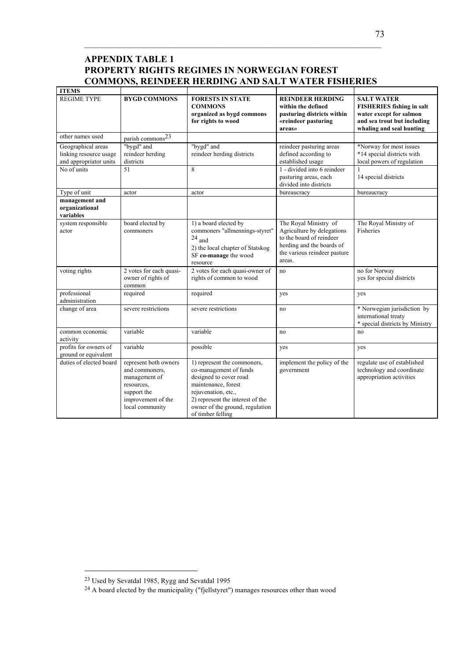# **APPENDIX TABLE 1 PROPERTY RIGHTS REGIMES IN NORWEGIAN FOREST COMMONS, REINDEER HERDING AND SALT WATER FISHERIES**

 $\mathcal{L}_\mathcal{L} = \{ \mathcal{L}_\mathcal{L} = \{ \mathcal{L}_\mathcal{L} = \{ \mathcal{L}_\mathcal{L} = \{ \mathcal{L}_\mathcal{L} = \{ \mathcal{L}_\mathcal{L} = \{ \mathcal{L}_\mathcal{L} = \{ \mathcal{L}_\mathcal{L} = \{ \mathcal{L}_\mathcal{L} = \{ \mathcal{L}_\mathcal{L} = \{ \mathcal{L}_\mathcal{L} = \{ \mathcal{L}_\mathcal{L} = \{ \mathcal{L}_\mathcal{L} = \{ \mathcal{L}_\mathcal{L} = \{ \mathcal{L}_\mathcal{$ 

| <b>ITEMS</b>                                                           |                                                                                                                                |                                                                                                                                                                                                                           |                                                                                                                                                        |                                                                                                                                             |
|------------------------------------------------------------------------|--------------------------------------------------------------------------------------------------------------------------------|---------------------------------------------------------------------------------------------------------------------------------------------------------------------------------------------------------------------------|--------------------------------------------------------------------------------------------------------------------------------------------------------|---------------------------------------------------------------------------------------------------------------------------------------------|
| <b>REGIME TYPE</b>                                                     | <b>BYGD COMMONS</b>                                                                                                            | <b>FORESTS IN STATE</b><br><b>COMMONS</b><br>organized as bygd commons<br>for rights to wood                                                                                                                              | <b>REINDEER HERDING</b><br>within the defined<br>pasturing districts within<br>«reindeer pasturing<br>areas»                                           | <b>SALT WATER</b><br><b>FISHERIES</b> fishing in salt<br>water except for salmon<br>and sea trout but including<br>whaling and seal hunting |
| other names used                                                       | parish commons <sup>23</sup>                                                                                                   |                                                                                                                                                                                                                           |                                                                                                                                                        |                                                                                                                                             |
| Geographical areas<br>linking resource usage<br>and appropriator units | "bygd" and<br>reindeer herding<br>districts                                                                                    | "bygd" and<br>reindeer herding districts                                                                                                                                                                                  | reindeer pasturing areas<br>defined according to<br>established usage                                                                                  | *Norway for most issues<br>*14 special districts with<br>local powers of regulation                                                         |
| No of units                                                            | 51                                                                                                                             | 8                                                                                                                                                                                                                         | 1 - divided into 6 reindeer<br>pasturing areas, each<br>divided into districts                                                                         | 14 special districts                                                                                                                        |
| Type of unit                                                           | actor                                                                                                                          | actor                                                                                                                                                                                                                     | bureaucracy                                                                                                                                            | bureaucracy                                                                                                                                 |
| management and<br>organizational<br>variables                          |                                                                                                                                |                                                                                                                                                                                                                           |                                                                                                                                                        |                                                                                                                                             |
| system responsible<br>actor                                            | board elected by<br>commoners                                                                                                  | 1) a board elected by<br>commoners "allmennings-styret"<br>$24$ and<br>2) the local chapter of Statskog<br>SF co-manage the wood<br>resource                                                                              | The Royal Ministry of<br>Agriculture by delegations<br>to the board of reindeer<br>herding and the boards of<br>the various reindeer pasture<br>areas. | The Royal Ministry of<br>Fisheries                                                                                                          |
| voting rights                                                          | 2 votes for each quasi-<br>owner of rights of<br>common                                                                        | 2 votes for each quasi-owner of<br>rights of common to wood                                                                                                                                                               | no                                                                                                                                                     | no for Norway<br>yes for special districts                                                                                                  |
| professional<br>administration                                         | required                                                                                                                       | required                                                                                                                                                                                                                  | yes                                                                                                                                                    | yes                                                                                                                                         |
| change of area                                                         | severe restrictions                                                                                                            | severe restrictions                                                                                                                                                                                                       | no                                                                                                                                                     | * Norwegian jurisdiction by<br>international treaty<br>* special districts by Ministry                                                      |
| common economic<br>activity                                            | variable                                                                                                                       | variable                                                                                                                                                                                                                  | no                                                                                                                                                     | no                                                                                                                                          |
| profits for owners of<br>ground or equivalent                          | variable                                                                                                                       | possible                                                                                                                                                                                                                  | yes                                                                                                                                                    | yes                                                                                                                                         |
| duties of elected board                                                | represent both owners<br>and commoners,<br>management of<br>resources,<br>support the<br>improvement of the<br>local community | 1) represent the commoners,<br>co-management of funds<br>designed to cover road<br>maintenance, forest<br>rejuvenation, etc.,<br>2) represent the interest of the<br>owner of the ground, regulation<br>of timber felling | implement the policy of the<br>government                                                                                                              | regulate use of established<br>technology and coordinate<br>appropriation activities                                                        |

<sup>23</sup> Used by Sevatdal 1985, Rygg and Sevatdal 1995

<sup>&</sup>lt;sup>24</sup> A board elected by the municipality ("fjellstyret") manages resources other than wood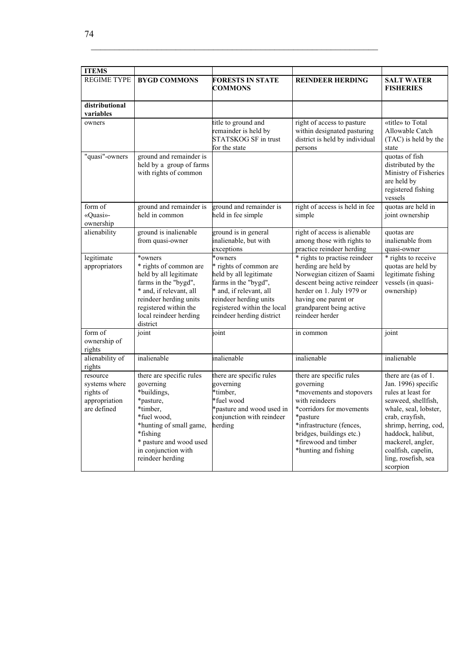| <b>ITEMS</b>                                                           |                                                                                                                                                                                                           |                                                                                                                                                                                                      |                                                                                                                                                                                                                                     |                                                                                                                                                                                                                                                                 |  |
|------------------------------------------------------------------------|-----------------------------------------------------------------------------------------------------------------------------------------------------------------------------------------------------------|------------------------------------------------------------------------------------------------------------------------------------------------------------------------------------------------------|-------------------------------------------------------------------------------------------------------------------------------------------------------------------------------------------------------------------------------------|-----------------------------------------------------------------------------------------------------------------------------------------------------------------------------------------------------------------------------------------------------------------|--|
| <b>REGIME TYPE</b>                                                     | <b>BYGD COMMONS</b>                                                                                                                                                                                       | <b>FORESTS IN STATE</b><br><b>COMMONS</b>                                                                                                                                                            | <b>REINDEER HERDING</b>                                                                                                                                                                                                             | <b>SALT WATER</b><br><b>FISHERIES</b>                                                                                                                                                                                                                           |  |
| distributional<br>variables                                            |                                                                                                                                                                                                           |                                                                                                                                                                                                      |                                                                                                                                                                                                                                     |                                                                                                                                                                                                                                                                 |  |
| owners                                                                 |                                                                                                                                                                                                           | title to ground and<br>remainder is held by<br>STATSKOG SF in trust<br>for the state                                                                                                                 | right of access to pasture<br>within designated pasturing<br>district is held by individual<br>persons                                                                                                                              | «title» to Total<br>Allowable Catch<br>(TAC) is held by the<br>state                                                                                                                                                                                            |  |
| "quasi"-owners                                                         | ground and remainder is<br>held by a group of farms<br>with rights of common                                                                                                                              |                                                                                                                                                                                                      |                                                                                                                                                                                                                                     | quotas of fish<br>distributed by the<br>Ministry of Fisheries<br>are held by<br>registered fishing<br>vessels                                                                                                                                                   |  |
| form of<br>«Quasi»-<br>ownership                                       | ground and remainder is<br>held in common                                                                                                                                                                 | ground and remainder is<br>held in fee simple                                                                                                                                                        | right of access is held in fee<br>simple                                                                                                                                                                                            | quotas are held in<br>joint ownership                                                                                                                                                                                                                           |  |
| alienability                                                           | ground is inalienable<br>from quasi-owner                                                                                                                                                                 | ground is in general<br>inalienable, but with<br>exceptions                                                                                                                                          | right of access is alienable<br>among those with rights to<br>practice reindeer herding                                                                                                                                             | quotas are<br>inalienable from<br>quasi-owner                                                                                                                                                                                                                   |  |
| legitimate<br>appropriators                                            | *owners<br>* rights of common are<br>held by all legitimate<br>farms in the "bygd",<br>* and, if relevant, all<br>reindeer herding units<br>registered within the<br>local reindeer herding<br>district   | *owners<br>* rights of common are<br>held by all legitimate<br>farms in the "bygd",<br>* and, if relevant, all<br>reindeer herding units<br>registered within the local<br>reindeer herding district | * rights to practise reindeer<br>herding are held by<br>Norwegian citizen of Saami<br>descent being active reindeer<br>herder on 1. July 1979 or<br>having one parent or<br>grandparent being active<br>reindeer herder             | * rights to receive<br>quotas are held by<br>legitimate fishing<br>vessels (in quasi-<br>ownership)                                                                                                                                                             |  |
| form of<br>ownership of<br>rights                                      | joint                                                                                                                                                                                                     | ioint                                                                                                                                                                                                | in common                                                                                                                                                                                                                           | joint                                                                                                                                                                                                                                                           |  |
| alienability of<br>rights                                              | inalienable                                                                                                                                                                                               | inalienable                                                                                                                                                                                          | inalienable                                                                                                                                                                                                                         | inalienable                                                                                                                                                                                                                                                     |  |
| resource<br>systems where<br>rights of<br>appropriation<br>are defined | there are specific rules<br>governing<br>*buildings,<br>*pasture,<br>*timber.<br>*fuel wood,<br>*hunting of small game,<br>*fishing<br>* pasture and wood used<br>in conjunction with<br>reindeer herding | there are specific rules<br>governing<br>*timber,<br>fuel wood<br>*pasture and wood used in<br>conjunction with reindeer<br>herding                                                                  | there are specific rules<br>governing<br>*movements and stopovers<br>with reindeers<br>*corridors for movements<br>*pasture<br>*infrastructure (fences,<br>bridges, buildings etc.)<br>*firewood and timber<br>*hunting and fishing | there are (as of 1.<br>Jan. 1996) specific<br>rules at least for<br>seaweed, shellfish,<br>whale, seal, lobster,<br>crab, crayfish,<br>shrimp, herring, cod,<br>haddock, halibut,<br>mackerel, angler,<br>coalfish, capelin,<br>ling, rosefish, sea<br>scorpion |  |